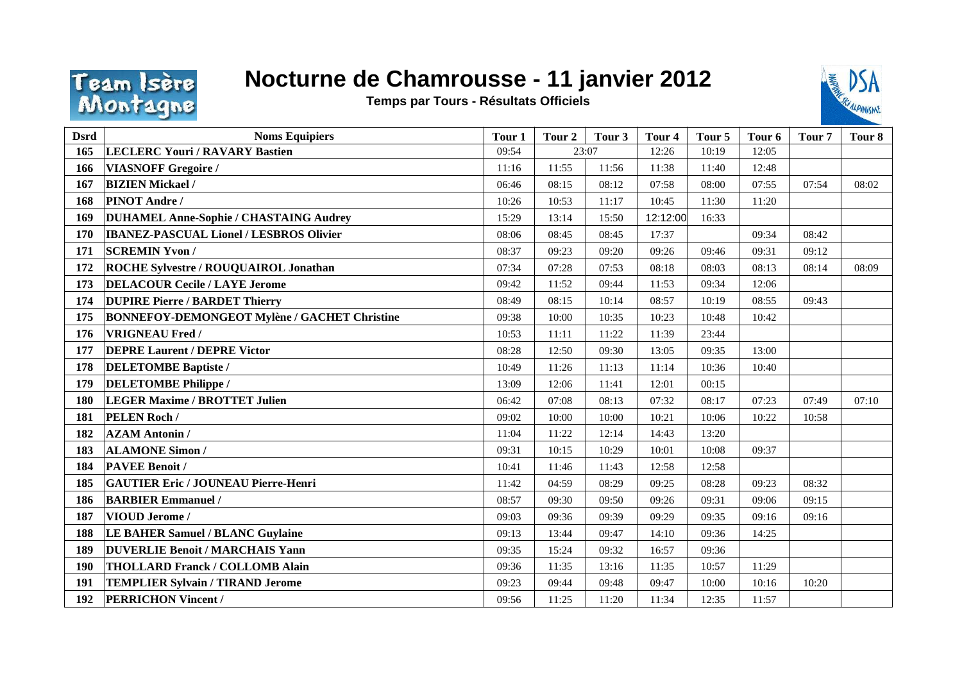

## **Nocturne de Chamrousse - 11 janvier 2012**

**Temps par Tours - Résultats Officiels**



| <b>Dsrd</b> | <b>Noms Equipiers</b>                               | Tour 1 | Tour 2 | Tour 3 | Tour <sub>4</sub> | Tour <sub>5</sub> | Tour <sub>6</sub> | Tour <sub>7</sub> | Tour 8 |
|-------------|-----------------------------------------------------|--------|--------|--------|-------------------|-------------------|-------------------|-------------------|--------|
| 165         | <b>LECLERC Youri / RAVARY Bastien</b>               | 09:54  | 23:07  |        | 12:26             | 10:19             | 12:05             |                   |        |
| 166         | <b>VIASNOFF Gregoire /</b>                          | 11:16  | 11:55  | 11:56  | 11:38             | 11:40             | 12:48             |                   |        |
| 167         | <b>BIZIEN Mickael /</b>                             | 06:46  | 08:15  | 08:12  | 07:58             | 08:00             | 07:55             | 07:54             | 08:02  |
| 168         | <b>PINOT Andre/</b>                                 | 10:26  | 10:53  | 11:17  | 10:45             | 11:30             | 11:20             |                   |        |
| 169         | <b>DUHAMEL Anne-Sophie / CHASTAING Audrey</b>       | 15:29  | 13:14  | 15:50  | 12:12:00          | 16:33             |                   |                   |        |
| 170         | <b>IBANEZ-PASCUAL Lionel / LESBROS Olivier</b>      | 08:06  | 08:45  | 08:45  | 17:37             |                   | 09:34             | 08:42             |        |
| 171         | <b>SCREMIN Yvon /</b>                               | 08:37  | 09:23  | 09:20  | 09:26             | 09:46             | 09:31             | 09:12             |        |
| 172         | <b>ROCHE Sylvestre / ROUQUAIROL Jonathan</b>        | 07:34  | 07:28  | 07:53  | 08:18             | 08:03             | 08:13             | 08:14             | 08:09  |
| 173         | <b>DELACOUR Cecile / LAYE Jerome</b>                | 09:42  | 11:52  | 09:44  | 11:53             | 09:34             | 12:06             |                   |        |
| 174         | <b>DUPIRE Pierre / BARDET Thierry</b>               | 08:49  | 08:15  | 10:14  | 08:57             | 10:19             | 08:55             | 09:43             |        |
| 175         | <b>BONNEFOY-DEMONGEOT Mylène / GACHET Christine</b> | 09:38  | 10:00  | 10:35  | 10:23             | 10:48             | 10:42             |                   |        |
| 176         | <b>VRIGNEAU Fred /</b>                              | 10:53  | 11:11  | 11:22  | 11:39             | 23:44             |                   |                   |        |
| 177         | <b>DEPRE Laurent / DEPRE Victor</b>                 | 08:28  | 12:50  | 09:30  | 13:05             | 09:35             | 13:00             |                   |        |
| 178         | <b>DELETOMBE Baptiste /</b>                         | 10:49  | 11:26  | 11:13  | 11:14             | 10:36             | 10:40             |                   |        |
| 179         | <b>DELETOMBE Philippe /</b>                         | 13:09  | 12:06  | 11:41  | 12:01             | 00:15             |                   |                   |        |
| 180         | <b>LEGER Maxime / BROTTET Julien</b>                | 06:42  | 07:08  | 08:13  | 07:32             | 08:17             | 07:23             | 07:49             | 07:10  |
| 181         | PELEN Roch /                                        | 09:02  | 10:00  | 10:00  | 10:21             | 10:06             | 10:22             | 10:58             |        |
| 182         | <b>AZAM Antonin /</b>                               | 11:04  | 11:22  | 12:14  | 14:43             | 13:20             |                   |                   |        |
| 183         | <b>ALAMONE Simon /</b>                              | 09:31  | 10:15  | 10:29  | 10:01             | 10:08             | 09:37             |                   |        |
| 184         | <b>PAVEE Benoit /</b>                               | 10:41  | 11:46  | 11:43  | 12:58             | 12:58             |                   |                   |        |
| 185         | <b>GAUTIER Eric / JOUNEAU Pierre-Henri</b>          | 11:42  | 04:59  | 08:29  | 09:25             | 08:28             | 09:23             | 08:32             |        |
| 186         | <b>BARBIER Emmanuel /</b>                           | 08:57  | 09:30  | 09:50  | 09:26             | 09:31             | 09:06             | 09:15             |        |
| 187         | <b>VIOUD Jerome/</b>                                | 09:03  | 09:36  | 09:39  | 09:29             | 09:35             | 09:16             | 09:16             |        |
| 188         | <b>LE BAHER Samuel / BLANC Guylaine</b>             | 09:13  | 13:44  | 09:47  | 14:10             | 09:36             | 14:25             |                   |        |
| 189         | <b>DUVERLIE Benoit / MARCHAIS Yann</b>              | 09:35  | 15:24  | 09:32  | 16:57             | 09:36             |                   |                   |        |
| 190         | <b>THOLLARD Franck / COLLOMB Alain</b>              | 09:36  | 11:35  | 13:16  | 11:35             | 10:57             | 11:29             |                   |        |
| 191         | <b>TEMPLIER Sylvain / TIRAND Jerome</b>             | 09:23  | 09:44  | 09:48  | 09:47             | 10:00             | 10:16             | 10:20             |        |
| 192         | <b>PERRICHON Vincent /</b>                          | 09:56  | 11:25  | 11:20  | 11:34             | 12:35             | 11:57             |                   |        |